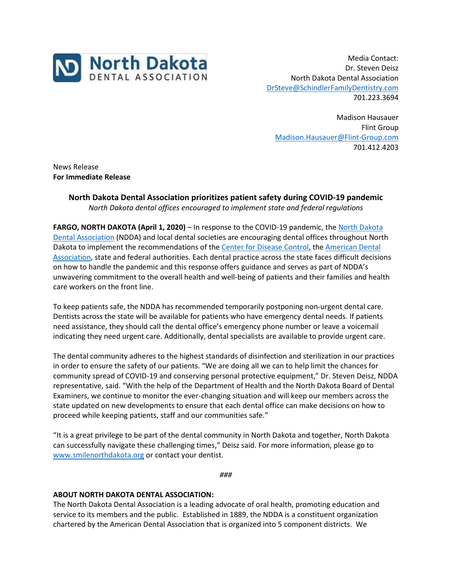

Media Contact: Dr. Steven Deisz North Dakota Dental Association [DrSteve@SchindlerFamilyDentistry.com](mailto:DrSteve@SchindlerFamilyDentistry.com) 701.223.3694

Madison Hausauer Flint Group [Madison.Hausauer@Flint-Group.com](mailto:Madison.Hausauer@Flint-Group.com) 701.412.4203

News Release **For Immediate Release**

## **North Dakota Dental Association prioritizes patient safety during COVID-19 pandemic** *North Dakota dental offices encouraged to implement state and federal regulations*

**FARGO, NORTH DAKOTA (April 1, 2020)** – In response to the COVID-19 pandemic, the [North Dakota](https://www.smilenorthdakota.org/)  [Dental Association](https://www.smilenorthdakota.org/) (NDDA) and local dental societies are encouraging dental offices throughout North Dakota to implement the recommendations of the [Center for Disease Control,](https://www.cdc.gov/coronavirus/2019-nCoV/index.html) the [American Dental](https://www.ada.org/en)  [Association,](https://www.ada.org/en) state and federal authorities. Each dental practice across the state faces difficult decisions on how to handle the pandemic and this response offers guidance and serves as part of NDDA's unwavering commitment to the overall health and well-being of patients and their families and health care workers on the front line.

To keep patients safe, the NDDA has recommended temporarily postponing non-urgent dental care. Dentists across the state will be available for patients who have emergency dental needs. If patients need assistance, they should call the dental office's emergency phone number or leave a voicemail indicating they need urgent care. Additionally, dental specialists are available to provide urgent care.

The dental community adheres to the highest standards of disinfection and sterilization in our practices in order to ensure the safety of our patients. "We are doing all we can to help limit the chances for community spread of COVID-19 and conserving personal protective equipment," Dr. Steven Deisz, NDDA representative, said. "With the help of the Department of Health and the North Dakota Board of Dental Examiners, we continue to monitor the ever-changing situation and will keep our members across the state updated on new developments to ensure that each dental office can make decisions on how to proceed while keeping patients, staff and our communities safe."

"It is a great privilege to be part of the dental community in North Dakota and together, North Dakota can successfully navigate these challenging times," Deisz said. For more information, please go to [www.smilenorthdakota.org](http://www.smilenorthdakota.org/) or contact your dentist.

*###*

## **ABOUT NORTH DAKOTA DENTAL ASSOCIATION:**

The North Dakota Dental Association is a leading advocate of oral health, promoting education and service to its members and the public. Established in 1889, the NDDA is a constituent organization chartered by the American Dental Association that is organized into 5 component districts. We